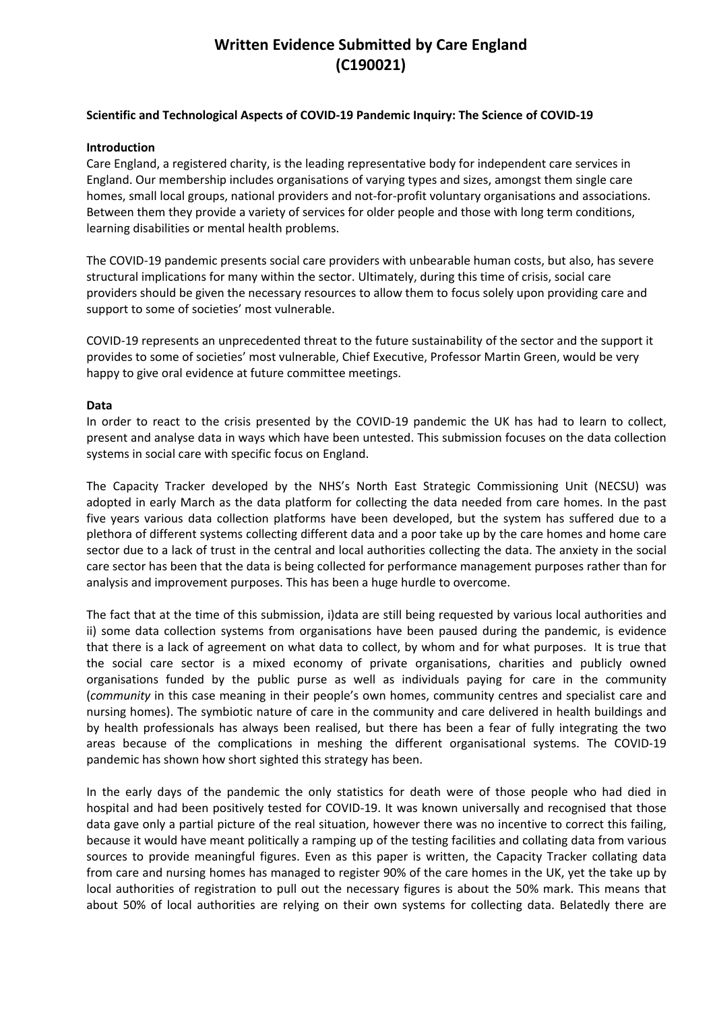# **Written Evidence Submitted by Care England (C190021)**

## **Scientific and Technological Aspects of COVID-19 Pandemic Inquiry: The Science of COVID-19**

#### **Introduction**

Care England, a registered charity, is the leading representative body for independent care services in England. Our membership includes organisations of varying types and sizes, amongst them single care homes, small local groups, national providers and not-for-profit voluntary organisations and associations. Between them they provide a variety of services for older people and those with long term conditions, learning disabilities or mental health problems.

The COVID-19 pandemic presents social care providers with unbearable human costs, but also, has severe structural implications for many within the sector. Ultimately, during this time of crisis, social care providers should be given the necessary resources to allow them to focus solely upon providing care and support to some of societies' most vulnerable.

COVID-19 represents an unprecedented threat to the future sustainability of the sector and the support it provides to some of societies' most vulnerable, Chief Executive, Professor Martin Green, would be very happy to give oral evidence at future committee meetings.

### **Data**

In order to react to the crisis presented by the COVID-19 pandemic the UK has had to learn to collect, present and analyse data in ways which have been untested. This submission focuses on the data collection systems in social care with specific focus on England.

The Capacity Tracker developed by the NHS's North East Strategic Commissioning Unit (NECSU) was adopted in early March as the data platform for collecting the data needed from care homes. In the past five years various data collection platforms have been developed, but the system has suffered due to a plethora of different systems collecting different data and a poor take up by the care homes and home care sector due to a lack of trust in the central and local authorities collecting the data. The anxiety in the social care sector has been that the data is being collected for performance management purposes rather than for analysis and improvement purposes. This has been a huge hurdle to overcome.

The fact that at the time of this submission, i)data are still being requested by various local authorities and ii) some data collection systems from organisations have been paused during the pandemic, is evidence that there is a lack of agreement on what data to collect, by whom and for what purposes. It is true that the social care sector is a mixed economy of private organisations, charities and publicly owned organisations funded by the public purse as well as individuals paying for care in the community (*community* in this case meaning in their people's own homes, community centres and specialist care and nursing homes). The symbiotic nature of care in the community and care delivered in health buildings and by health professionals has always been realised, but there has been a fear of fully integrating the two areas because of the complications in meshing the different organisational systems. The COVID-19 pandemic has shown how short sighted this strategy has been.

In the early days of the pandemic the only statistics for death were of those people who had died in hospital and had been positively tested for COVID-19. It was known universally and recognised that those data gave only a partial picture of the real situation, however there was no incentive to correct this failing, because it would have meant politically a ramping up of the testing facilities and collating data from various sources to provide meaningful figures. Even as this paper is written, the Capacity Tracker collating data from care and nursing homes has managed to register 90% of the care homes in the UK, yet the take up by local authorities of registration to pull out the necessary figures is about the 50% mark. This means that about 50% of local authorities are relying on their own systems for collecting data. Belatedly there are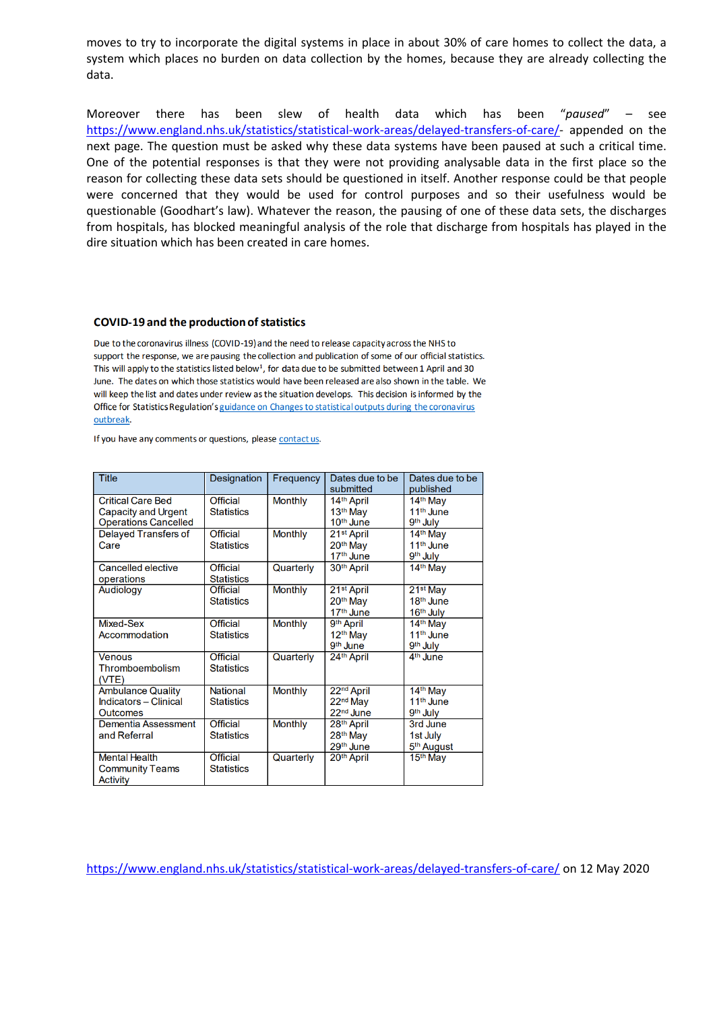moves to try to incorporate the digital systems in place in about 30% of care homes to collect the data, a system which places no burden on data collection by the homes, because they are already collecting the data.

Moreover there has been slew of health data which has been "*paused*" – see [https://www.england.nhs.uk/statistics/statistical-work-areas/delayed-transfers-of-care/-](https://www.england.nhs.uk/statistics/statistical-work-areas/delayed-transfers-of-care/) appended on the next page. The question must be asked why these data systems have been paused at such a critical time. One of the potential responses is that they were not providing analysable data in the first place so the reason for collecting these data sets should be questioned in itself. Another response could be that people were concerned that they would be used for control purposes and so their usefulness would be questionable (Goodhart's law). Whatever the reason, the pausing of one of these data sets, the discharges from hospitals, has blocked meaningful analysis of the role that discharge from hospitals has played in the dire situation which has been created in care homes.

#### **COVID-19 and the production of statistics**

Due to the coronavirus illness (COVID-19) and the need to release capacity across the NHS to support the response, we are pausing the collection and publication of some of our official statistics. This will apply to the statistics listed below<sup>1</sup>, for data due to be submitted between 1 April and 30 June. The dates on which those statistics would have been released are also shown in the table. We will keep the list and dates under review as the situation develops. This decision is informed by the Office for Statistics Regulation's guidance on Changes to statistical outputs during the coronavirus outbreak.

If you have any comments or questions, please contact us.

| <b>Title</b>                                                         | Designation                          | Frequency      | Dates due to be<br>submitted                                            | Dates due to be<br>published                              |
|----------------------------------------------------------------------|--------------------------------------|----------------|-------------------------------------------------------------------------|-----------------------------------------------------------|
| <b>Critical Care Bed</b><br><b>Capacity and Urgent</b>               | <b>Official</b><br><b>Statistics</b> | <b>Monthly</b> | 14 <sup>th</sup> April<br>13 <sup>th</sup> May                          | 14 <sup>th</sup> May<br>11 <sup>th</sup> June             |
| <b>Operations Cancelled</b>                                          |                                      |                | 10 <sup>th</sup> June                                                   | 9 <sup>th</sup> July                                      |
| <b>Delayed Transfers of</b>                                          | Official                             | <b>Monthly</b> | 21 <sup>st</sup> April                                                  | 14 <sup>th</sup> May                                      |
| Care                                                                 | <b>Statistics</b>                    |                | 20 <sup>th</sup> May<br>17 <sup>th</sup> June                           | 11 <sup>th</sup> June<br>9 <sup>th</sup> July             |
| <b>Cancelled elective</b><br>operations                              | <b>Official</b><br><b>Statistics</b> | Quarterly      | 30 <sup>th</sup> April                                                  | 14 <sup>th</sup> May                                      |
| Audiology                                                            | Official<br><b>Statistics</b>        | <b>Monthly</b> | 21 <sup>st</sup> April<br>20th May                                      | 21 <sup>st</sup> May<br>18 <sup>th</sup> June             |
|                                                                      |                                      |                | 17 <sup>th</sup> June                                                   | 16 <sup>th</sup> July                                     |
| Mixed-Sex                                                            | <b>Official</b>                      | <b>Monthly</b> | 9th April                                                               | 14 <sup>th</sup> May                                      |
| Accommodation                                                        | <b>Statistics</b>                    |                | 12 <sup>th</sup> May<br>9 <sup>th</sup> June                            | 11 <sup>th</sup> June<br>9 <sup>th</sup> July             |
| <b>Venous</b><br>Thromboembolism<br>(VTE)                            | <b>Official</b><br><b>Statistics</b> | Quarterly      | 24th April                                                              | 4 <sup>th</sup> June                                      |
| <b>Ambulance Quality</b><br>Indicators - Clinical<br><b>Outcomes</b> | <b>National</b><br><b>Statistics</b> | <b>Monthly</b> | 22 <sup>nd</sup> April<br>22 <sup>nd</sup> May<br>22 <sup>nd</sup> June | 14 <sup>th</sup> May<br>11 <sup>th</sup> June<br>9th July |
| Dementia Assessment<br>and Referral                                  | <b>Official</b><br><b>Statistics</b> | <b>Monthly</b> | 28 <sup>th</sup> April<br>28 <sup>th</sup> May<br>29 <sup>th</sup> June | 3rd June<br>1st July<br>5 <sup>th</sup> August            |
| <b>Mental Health</b><br><b>Community Teams</b><br>Activity           | Official<br><b>Statistics</b>        | Quarterly      | 20 <sup>th</sup> April                                                  | 15 <sup>th</sup> May                                      |

<https://www.england.nhs.uk/statistics/statistical-work-areas/delayed-transfers-of-care/> on 12 May 2020